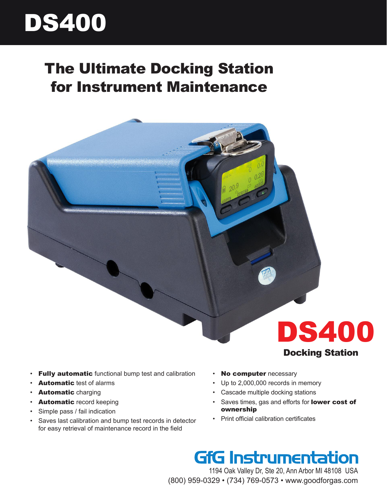# DS400

# The Ultimate Docking Station for Instrument Maintenance



- **Fully automatic** functional bump test and calibration
- Automatic test of alarms
- Automatic charging
- **Automatic** record keeping
- Simple pass / fail indication
- Saves last calibration and bump test records in detector for easy retrieval of maintenance record in the field
- No computer necessary
- Up to 2,000,000 records in memory
- Cascade multiple docking stations
- Saves times, gas and efforts for **lower cost of** ownership
- Print official calibration certificates

### **GfG Instrumentation**

1194 Oak Valley Dr, Ste 20, Ann Arbor MI 48108 USA (800) 959-0329 • (734) 769-0573 • www.goodforgas.com